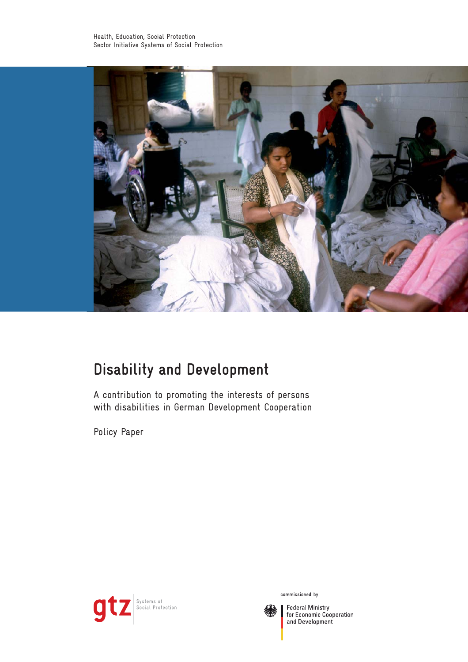

# **Disability and Development**

A contribution to promoting the interests of persons with disabilities in German Development Cooperation

Policy Paper



commissioned by



Federal Ministry<br>for Economic Cooperation and Development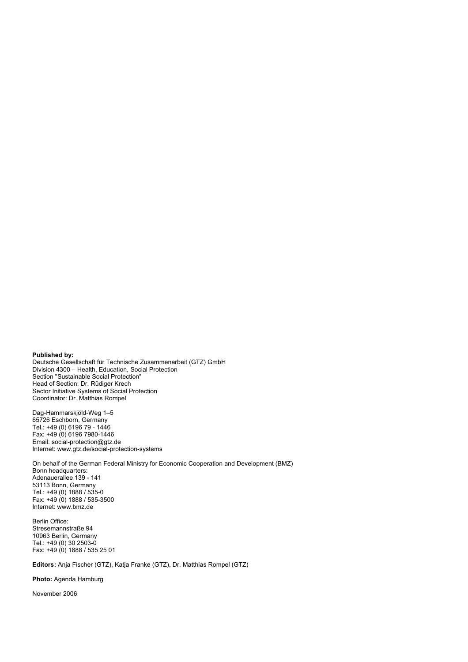**Published by:**  Deutsche Gesellschaft für Technische Zusammenarbeit (GTZ) GmbH Division 4300 – Health, Education, Social Protection Section "Sustainable Social Protection" Head of Section: Dr. Rüdiger Krech Sector Initiative Systems of Social Protection Coordinator: Dr. Matthias Rompel

Dag-Hammarskjöld-Weg 1–5 65726 Eschborn, Germany Tel.: +49 (0) 6196 79 - 1446 Fax: +49 (0) 6196 7980-1446 Email: social-protection@gtz.de Internet: www.gtz.de/social-protection-systems

On behalf of the German Federal Ministry for Economic Cooperation and Development (BMZ) Bonn headquarters: Adenauerallee 139 - 141 53113 Bonn, Germany Tel.: +49 (0) 1888 / 535-0 Fax: +49 (0) 1888 / 535-3500

Berlin Office: Stresemannstraße 94 10963 Berlin, Germany Tel.: +49 (0) 30 2503-0 Fax: +49 (0) 1888 / 535 25 01

Internet: www.bmz.de

**Editors:** Anja Fischer (GTZ), Katja Franke (GTZ), Dr. Matthias Rompel (GTZ)

**Photo:** Agenda Hamburg

November 2006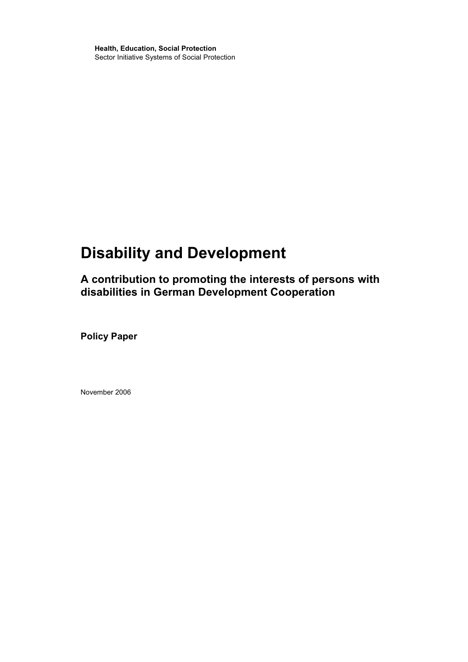**Health, Education, Social Protection**  Sector Initiative Systems of Social Protection

# **Disability and Development**

**A contribution to promoting the interests of persons with disabilities in German Development Cooperation** 

**Policy Paper** 

November 2006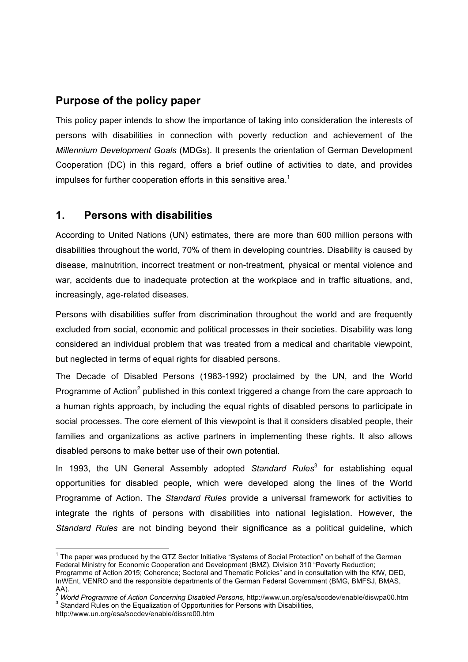# **Purpose of the policy paper**

This policy paper intends to show the importance of taking into consideration the interests of persons with disabilities in connection with poverty reduction and achievement of the *Millennium Development Goals* (MDGs). It presents the orientation of German Development Cooperation (DC) in this regard, offers a brief outline of activities to date, and provides impulses for further cooperation efforts in this sensitive area.<sup>1</sup>

# **1. Persons with disabilities**

According to United Nations (UN) estimates, there are more than 600 million persons with disabilities throughout the world, 70% of them in developing countries. Disability is caused by disease, malnutrition, incorrect treatment or non-treatment, physical or mental violence and war, accidents due to inadequate protection at the workplace and in traffic situations, and, increasingly, age-related diseases.

Persons with disabilities suffer from discrimination throughout the world and are frequently excluded from social, economic and political processes in their societies. Disability was long considered an individual problem that was treated from a medical and charitable viewpoint, but neglected in terms of equal rights for disabled persons.

The Decade of Disabled Persons (1983-1992) proclaimed by the UN, and the World Programme of Action<sup>2</sup> published in this context triggered a change from the care approach to a human rights approach, by including the equal rights of disabled persons to participate in social processes. The core element of this viewpoint is that it considers disabled people, their families and organizations as active partners in implementing these rights. It also allows disabled persons to make better use of their own potential.

In 1993, the UN General Assembly adopted Standard Rules<sup>3</sup> for establishing equal opportunities for disabled people, which were developed along the lines of the World Programme of Action. The *Standard Rules* provide a universal framework for activities to integrate the rights of persons with disabilities into national legislation. However, the *Standard Rules* are not binding beyond their significance as a political guideline, which

 1 The paper was produced by the GTZ Sector Initiative "Systems of Social Protection" on behalf of the German Federal Ministry for Economic Cooperation and Development (BMZ), Division 310 "Poverty Reduction; Programme of Action 2015; Coherence; Sectoral and Thematic Policies" and in consultation with the KfW, DED, InWEnt, VENRO and the responsible departments of the German Federal Government (BMG, BMFSJ, BMAS, AA).

<sup>&</sup>lt;sup>2</sup> World Programme of Action Concerning Disabled Persons, http://www.un.org/esa/socdev/enable/diswpa00.htm **Standard Rules on the Equalization of Opportunities for Persons with Disabilities,** http://www.un.org/esa/socdev/enable/dissre00.htm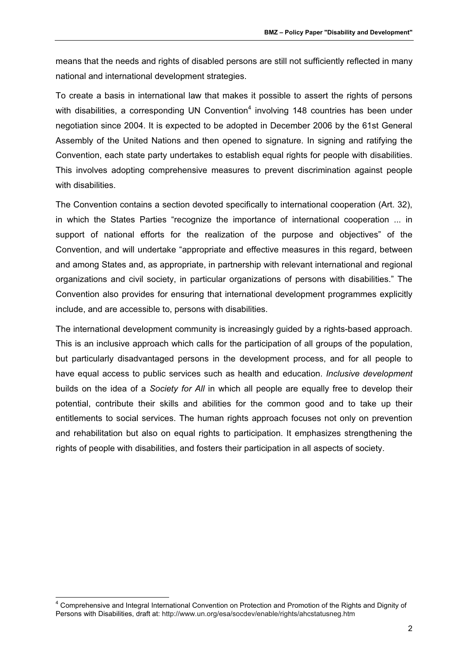means that the needs and rights of disabled persons are still not sufficiently reflected in many national and international development strategies.

To create a basis in international law that makes it possible to assert the rights of persons with disabilities, a corresponding UN Convention<sup>4</sup> involving 148 countries has been under negotiation since 2004. It is expected to be adopted in December 2006 by the 61st General Assembly of the United Nations and then opened to signature. In signing and ratifying the Convention, each state party undertakes to establish equal rights for people with disabilities. This involves adopting comprehensive measures to prevent discrimination against people with disabilities.

The Convention contains a section devoted specifically to international cooperation (Art. 32), in which the States Parties "recognize the importance of international cooperation ... in support of national efforts for the realization of the purpose and objectives" of the Convention, and will undertake "appropriate and effective measures in this regard, between and among States and, as appropriate, in partnership with relevant international and regional organizations and civil society, in particular organizations of persons with disabilities." The Convention also provides for ensuring that international development programmes explicitly include, and are accessible to, persons with disabilities.

The international development community is increasingly guided by a rights-based approach. This is an inclusive approach which calls for the participation of all groups of the population, but particularly disadvantaged persons in the development process, and for all people to have equal access to public services such as health and education. *Inclusive development* builds on the idea of a *Society for All* in which all people are equally free to develop their potential, contribute their skills and abilities for the common good and to take up their entitlements to social services. The human rights approach focuses not only on prevention and rehabilitation but also on equal rights to participation. It emphasizes strengthening the rights of people with disabilities, and fosters their participation in all aspects of society.

 4 Comprehensive and Integral International Convention on Protection and Promotion of the Rights and Dignity of Persons with Disabilities, draft at: http://www.un.org/esa/socdev/enable/rights/ahcstatusneg.htm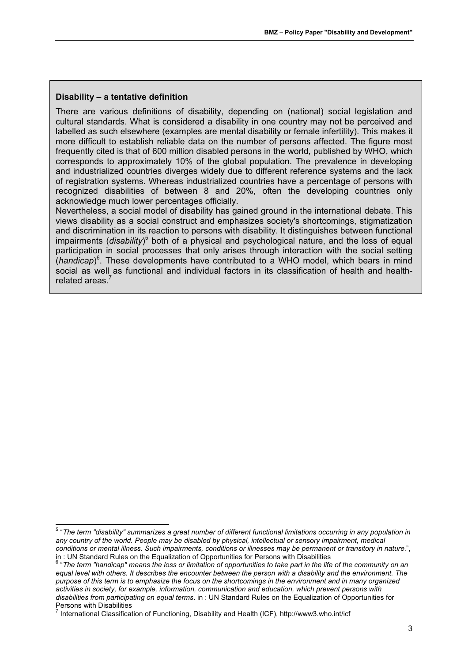#### **Disability – a tentative definition**

There are various definitions of disability, depending on (national) social legislation and cultural standards. What is considered a disability in one country may not be perceived and labelled as such elsewhere (examples are mental disability or female infertility). This makes it more difficult to establish reliable data on the number of persons affected. The figure most frequently cited is that of 600 million disabled persons in the world, published by WHO, which corresponds to approximately 10% of the global population. The prevalence in developing and industrialized countries diverges widely due to different reference systems and the lack of registration systems. Whereas industrialized countries have a percentage of persons with recognized disabilities of between 8 and 20%, often the developing countries only acknowledge much lower percentages officially.

Nevertheless, a social model of disability has gained ground in the international debate. This views disability as a social construct and emphasizes society's shortcomings, stigmatization and discrimination in its reaction to persons with disability. It distinguishes between functional impairments (disability)<sup>5</sup> both of a physical and psychological nature, and the loss of equal participation in social processes that only arises through interaction with the social setting (*handicap*) 6 . These developments have contributed to a WHO model, which bears in mind social as well as functional and individual factors in its classification of health and healthrelated areas.<sup>7</sup>

 5 "*The term "disability" summarizes a great number of different functional limitations occurring in any population in any country of the world. People may be disabled by physical, intellectual or sensory impairment, medical conditions or mental illness. Such impairments, conditions or illnesses may be permanent or transitory in nature*.",

in : UN Standard Rules on the Equalization of Opportunities for Persons with Disabilities<br><sup>6</sup> "The term "handicap" means the loss or limitation of opportunities to take part in the life of the community on an *equal level with others. It describes the encounter between the person with a disability and the environment. The purpose of this term is to emphasize the focus on the shortcomings in the environment and in many organized activities in society, for example, information, communication and education, which prevent persons with disabilities from participating on equal terms*. in : UN Standard Rules on the Equalization of Opportunities for

Persons with Disabilities<br><sup>7</sup> International Classification of Functioning, Disability and Health (ICF), http://www3.who.int/icf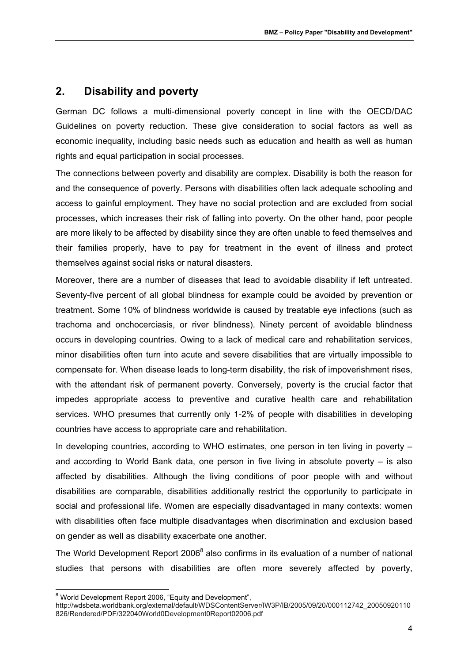# **2. Disability and poverty**

German DC follows a multi-dimensional poverty concept in line with the OECD/DAC Guidelines on poverty reduction. These give consideration to social factors as well as economic inequality, including basic needs such as education and health as well as human rights and equal participation in social processes.

The connections between poverty and disability are complex. Disability is both the reason for and the consequence of poverty. Persons with disabilities often lack adequate schooling and access to gainful employment. They have no social protection and are excluded from social processes, which increases their risk of falling into poverty. On the other hand, poor people are more likely to be affected by disability since they are often unable to feed themselves and their families properly, have to pay for treatment in the event of illness and protect themselves against social risks or natural disasters.

Moreover, there are a number of diseases that lead to avoidable disability if left untreated. Seventy-five percent of all global blindness for example could be avoided by prevention or treatment. Some 10% of blindness worldwide is caused by treatable eye infections (such as trachoma and onchocerciasis, or river blindness). Ninety percent of avoidable blindness occurs in developing countries. Owing to a lack of medical care and rehabilitation services, minor disabilities often turn into acute and severe disabilities that are virtually impossible to compensate for. When disease leads to long-term disability, the risk of impoverishment rises, with the attendant risk of permanent poverty. Conversely, poverty is the crucial factor that impedes appropriate access to preventive and curative health care and rehabilitation services. WHO presumes that currently only 1-2% of people with disabilities in developing countries have access to appropriate care and rehabilitation.

In developing countries, according to WHO estimates, one person in ten living in poverty – and according to World Bank data, one person in five living in absolute poverty – is also affected by disabilities. Although the living conditions of poor people with and without disabilities are comparable, disabilities additionally restrict the opportunity to participate in social and professional life. Women are especially disadvantaged in many contexts: women with disabilities often face multiple disadvantages when discrimination and exclusion based on gender as well as disability exacerbate one another.

The World Development Report 2006<sup>8</sup> also confirms in its evaluation of a number of national studies that persons with disabilities are often more severely affected by poverty,

 8 World Development Report 2006, "Equity and Development",

http://wdsbeta.worldbank.org/external/default/WDSContentServer/IW3P/IB/2005/09/20/000112742\_20050920110 826/Rendered/PDF/322040World0Development0Report02006.pdf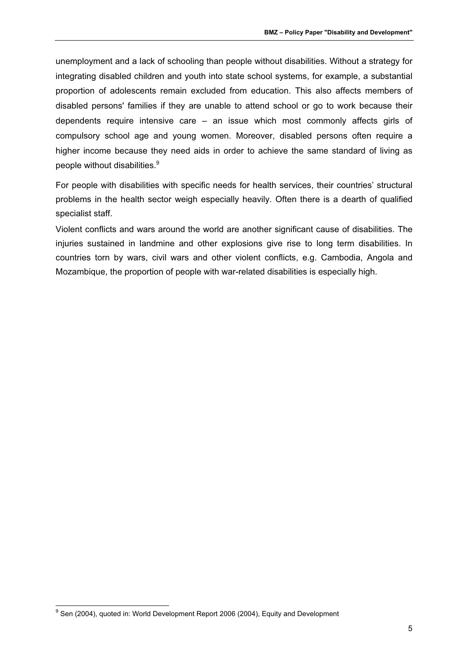unemployment and a lack of schooling than people without disabilities. Without a strategy for integrating disabled children and youth into state school systems, for example, a substantial proportion of adolescents remain excluded from education. This also affects members of disabled persons' families if they are unable to attend school or go to work because their dependents require intensive care  $-$  an issue which most commonly affects girls of compulsory school age and young women. Moreover, disabled persons often require a higher income because they need aids in order to achieve the same standard of living as people without disabilities.<sup>9</sup>

For people with disabilities with specific needs for health services, their countries' structural problems in the health sector weigh especially heavily. Often there is a dearth of qualified specialist staff.

Violent conflicts and wars around the world are another significant cause of disabilities. The injuries sustained in landmine and other explosions give rise to long term disabilities. In countries torn by wars, civil wars and other violent conflicts, e.g. Cambodia, Angola and Mozambique, the proportion of people with war-related disabilities is especially high.

 9 Sen (2004), quoted in: World Development Report 2006 (2004), Equity and Development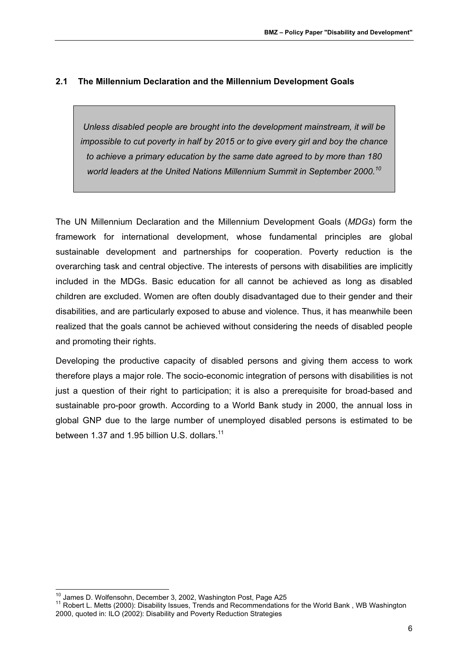# **2.1 The Millennium Declaration and the Millennium Development Goals**

*Unless disabled people are brought into the development mainstream, it will be impossible to cut poverty in half by 2015 or to give every girl and boy the chance to achieve a primary education by the same date agreed to by more than 180 world leaders at the United Nations Millennium Summit in September 2000.<sup>10</sup>*

The UN Millennium Declaration and the Millennium Development Goals (*MDGs*) form the framework for international development, whose fundamental principles are global sustainable development and partnerships for cooperation. Poverty reduction is the overarching task and central objective. The interests of persons with disabilities are implicitly included in the MDGs. Basic education for all cannot be achieved as long as disabled children are excluded. Women are often doubly disadvantaged due to their gender and their disabilities, and are particularly exposed to abuse and violence. Thus, it has meanwhile been realized that the goals cannot be achieved without considering the needs of disabled people and promoting their rights.

Developing the productive capacity of disabled persons and giving them access to work therefore plays a major role. The socio-economic integration of persons with disabilities is not just a question of their right to participation; it is also a prerequisite for broad-based and sustainable pro-poor growth. According to a World Bank study in 2000, the annual loss in global GNP due to the large number of unemployed disabled persons is estimated to be between 1.37 and 1.95 billion U.S. dollars.<sup>11</sup>

<sup>&</sup>lt;sup>10</sup> James D. Wolfensohn, December 3, 2002, Washington Post, Page A25

 $11$  Robert L. Metts (2000): Disability Issues, Trends and Recommendations for the World Bank , WB Washington 2000, quoted in: ILO (2002): Disability and Poverty Reduction Strategies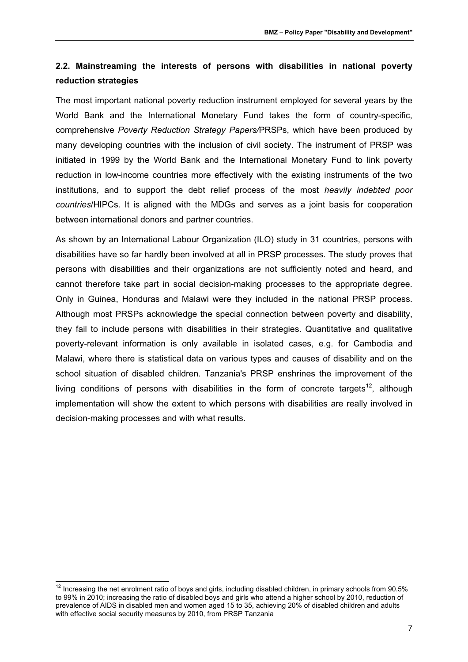# **2.2. Mainstreaming the interests of persons with disabilities in national poverty reduction strategies**

The most important national poverty reduction instrument employed for several years by the World Bank and the International Monetary Fund takes the form of country-specific, comprehensive *Poverty Reduction Strategy Papers/*PRSPs, which have been produced by many developing countries with the inclusion of civil society. The instrument of PRSP was initiated in 1999 by the World Bank and the International Monetary Fund to link poverty reduction in low-income countries more effectively with the existing instruments of the two institutions, and to support the debt relief process of the most *heavily indebted poor countries*/HIPCs. It is aligned with the MDGs and serves as a joint basis for cooperation between international donors and partner countries.

As shown by an International Labour Organization (ILO) study in 31 countries, persons with disabilities have so far hardly been involved at all in PRSP processes. The study proves that persons with disabilities and their organizations are not sufficiently noted and heard, and cannot therefore take part in social decision-making processes to the appropriate degree. Only in Guinea, Honduras and Malawi were they included in the national PRSP process. Although most PRSPs acknowledge the special connection between poverty and disability, they fail to include persons with disabilities in their strategies. Quantitative and qualitative poverty-relevant information is only available in isolated cases, e.g. for Cambodia and Malawi, where there is statistical data on various types and causes of disability and on the school situation of disabled children. Tanzania's PRSP enshrines the improvement of the living conditions of persons with disabilities in the form of concrete targets<sup>12</sup>, although implementation will show the extent to which persons with disabilities are really involved in decision-making processes and with what results.

 $\overline{1}$  $12$  Increasing the net enrolment ratio of boys and girls, including disabled children, in primary schools from 90.5% to 99% in 2010; increasing the ratio of disabled boys and girls who attend a higher school by 2010, reduction of prevalence of AIDS in disabled men and women aged 15 to 35, achieving 20% of disabled children and adults with effective social security measures by 2010, from PRSP Tanzania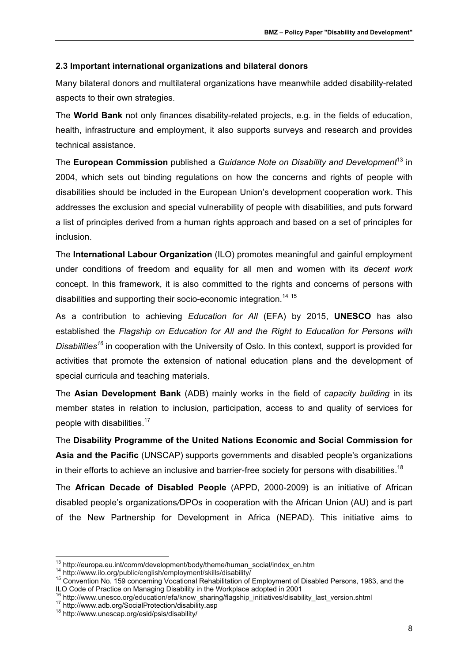# **2.3 Important international organizations and bilateral donors**

Many bilateral donors and multilateral organizations have meanwhile added disability-related aspects to their own strategies.

The **World Bank** not only finances disability-related projects, e.g. in the fields of education, health, infrastructure and employment, it also supports surveys and research and provides technical assistance.

The **European Commission** published a *Guidance Note on Disability and Development*13 in 2004, which sets out binding regulations on how the concerns and rights of people with disabilities should be included in the European Union's development cooperation work. This addresses the exclusion and special vulnerability of people with disabilities, and puts forward a list of principles derived from a human rights approach and based on a set of principles for inclusion.

The **International Labour Organization** (ILO) promotes meaningful and gainful employment under conditions of freedom and equality for all men and women with its *decent work* concept. In this framework, it is also committed to the rights and concerns of persons with disabilities and supporting their socio-economic integration.<sup>14 15</sup>

As a contribution to achieving *Education for All* (EFA) by 2015, **UNESCO** has also established the *Flagship on Education for All and the Right to Education for Persons with Disabilities16* in cooperation with the University of Oslo. In this context, support is provided for activities that promote the extension of national education plans and the development of special curricula and teaching materials.

The **Asian Development Bank** (ADB) mainly works in the field of *capacity building* in its member states in relation to inclusion, participation, access to and quality of services for people with disabilities.<sup>17</sup>

The **Disability Programme of the United Nations Economic and Social Commission for Asia and the Pacific** (UNSCAP) supports governments and disabled people's organizations in their efforts to achieve an inclusive and barrier-free society for persons with disabilities.<sup>18</sup>

The **African Decade of Disabled People** (APPD, 2000-2009) is an initiative of African disabled people's organizations*/*DPOs in cooperation with the African Union (AU) and is part of the New Partnership for Development in Africa (NEPAD). This initiative aims to

<sup>&</sup>lt;sup>13</sup> http://europa.eu.int/comm/development/body/theme/human\_social/index\_en.htm

<sup>14</sup> http://www.ilo.org/public/english/employment/skills/disability/<br>15 Convention No. 159 concerning Vocational Rehabilitation of Employment of Disabled Persons, 1983, and the ILO Code of Practice on Managing Disability in the Workplace adopted in 2001

<sup>16</sup> http://www.unesco.org/education/efa/know\_sharing/flagship\_initiatives/disability\_last\_version.shtml 17 http://www.adb.org/SocialProtection/disability.asp 18 http://www.unescap.org/esid/psis/disability/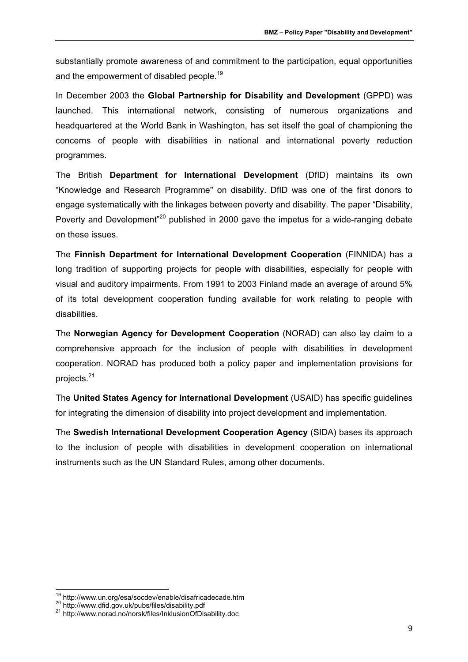substantially promote awareness of and commitment to the participation, equal opportunities and the empowerment of disabled people.<sup>19</sup>

In December 2003 the **Global Partnership for Disability and Development** (GPPD) was launched. This international network, consisting of numerous organizations and headquartered at the World Bank in Washington, has set itself the goal of championing the concerns of people with disabilities in national and international poverty reduction programmes.

The British **Department for International Development** (DfID) maintains its own "Knowledge and Research Programme" on disability. DfID was one of the first donors to engage systematically with the linkages between poverty and disability. The paper "Disability, Poverty and Development<sup>"20</sup> published in 2000 gave the impetus for a wide-ranging debate on these issues.

The **Finnish Department for International Development Cooperation** (FINNIDA) has a long tradition of supporting projects for people with disabilities, especially for people with visual and auditory impairments. From 1991 to 2003 Finland made an average of around 5% of its total development cooperation funding available for work relating to people with disabilities.

The **Norwegian Agency for Development Cooperation** (NORAD) can also lay claim to a comprehensive approach for the inclusion of people with disabilities in development cooperation. NORAD has produced both a policy paper and implementation provisions for projects.21

The **United States Agency for International Development** (USAID) has specific guidelines for integrating the dimension of disability into project development and implementation.

The **Swedish International Development Cooperation Agency** (SIDA) bases its approach to the inclusion of people with disabilities in development cooperation on international instruments such as the UN Standard Rules, among other documents.

 $\frac{1}{2}$ 

<sup>&</sup>lt;sup>19</sup> http://www.un.org/esa/socdev/enable/disafricadecade.htm<br><sup>20</sup> http://www.dfid.gov.uk/pubs/files/disability.pdf<br><sup>21</sup> http://www.norad.no/norsk/files/InklusionOfDisability.doc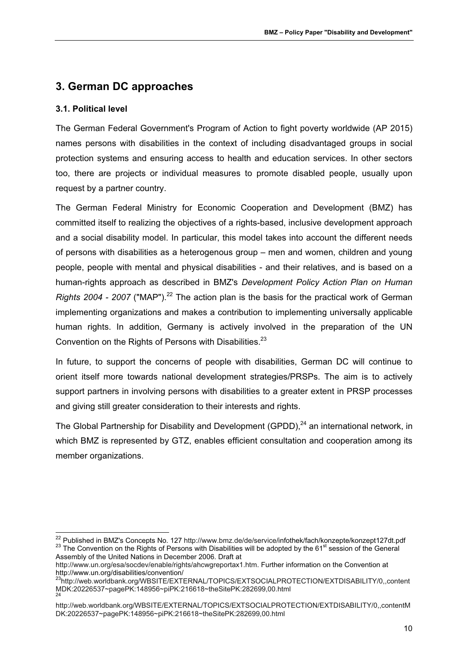# **3. German DC approaches**

# **3.1. Political level**

The German Federal Government's Program of Action to fight poverty worldwide (AP 2015) names persons with disabilities in the context of including disadvantaged groups in social protection systems and ensuring access to health and education services. In other sectors too, there are projects or individual measures to promote disabled people, usually upon request by a partner country.

The German Federal Ministry for Economic Cooperation and Development (BMZ) has committed itself to realizing the objectives of a rights-based, inclusive development approach and a social disability model. In particular, this model takes into account the different needs of persons with disabilities as a heterogenous group – men and women, children and young people, people with mental and physical disabilities - and their relatives, and is based on a human-rights approach as described in BMZ's *Development Policy Action Plan on Human Rights 2004 - 2007* ("MAP").<sup>22</sup> The action plan is the basis for the practical work of German implementing organizations and makes a contribution to implementing universally applicable human rights. In addition, Germany is actively involved in the preparation of the UN Convention on the Rights of Persons with Disabilities.<sup>23</sup>

In future, to support the concerns of people with disabilities, German DC will continue to orient itself more towards national development strategies/PRSPs. The aim is to actively support partners in involving persons with disabilities to a greater extent in PRSP processes and giving still greater consideration to their interests and rights.

The Global Partnership for Disability and Development (GPDD), $^{24}$  an international network, in which BMZ is represented by GTZ, enables efficient consultation and cooperation among its member organizations.

<sup>&</sup>lt;sup>22</sup> Published in BMZ's Concepts No. 127 http://www.bmz.de/de/service/infothek/fach/konzepte/konzept127dt.pdf <sup>23</sup> The Convention on the Rights of Persons with Disabilities will be adopted by the 61<sup>st</sup> session of the General Assembly of the United Nations in December 2006. Draft at

http://www.un.org/esa/socdev/enable/rights/ahcwgreportax1.htm. Further information on the Convention at http://www.un.org/disabilities/convention/

<sup>&</sup>lt;sup>23</sup>http://web.worldbank.org/WBSITE/EXTERNAL/TOPICS/EXTSOCIALPROTECTION/EXTDISABILITY/0,.content MDK:20226537~pagePK:148956~piPK:216618~theSitePK:282699,00.html 24

http://web.worldbank.org/WBSITE/EXTERNAL/TOPICS/EXTSOCIALPROTECTION/EXTDISABILITY/0,,contentM DK:20226537~pagePK:148956~piPK:216618~theSitePK:282699,00.html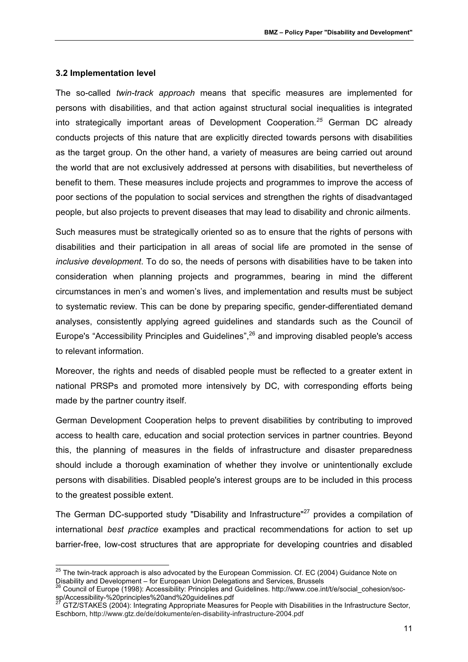# **3.2 Implementation level**

The so-called *twin-track approach* means that specific measures are implemented for persons with disabilities, and that action against structural social inequalities is integrated into strategically important areas of Development Cooperation*. <sup>25</sup>* German DC already conducts projects of this nature that are explicitly directed towards persons with disabilities as the target group. On the other hand, a variety of measures are being carried out around the world that are not exclusively addressed at persons with disabilities, but nevertheless of benefit to them. These measures include projects and programmes to improve the access of poor sections of the population to social services and strengthen the rights of disadvantaged people, but also projects to prevent diseases that may lead to disability and chronic ailments.

Such measures must be strategically oriented so as to ensure that the rights of persons with disabilities and their participation in all areas of social life are promoted in the sense of *inclusive development*. To do so, the needs of persons with disabilities have to be taken into consideration when planning projects and programmes, bearing in mind the different circumstances in men's and women's lives, and implementation and results must be subject to systematic review. This can be done by preparing specific, gender-differentiated demand analyses, consistently applying agreed guidelines and standards such as the Council of Europe's "Accessibility Principles and Guidelines",<sup>26</sup> and improving disabled people's access to relevant information.

Moreover, the rights and needs of disabled people must be reflected to a greater extent in national PRSPs and promoted more intensively by DC, with corresponding efforts being made by the partner country itself.

German Development Cooperation helps to prevent disabilities by contributing to improved access to health care, education and social protection services in partner countries. Beyond this, the planning of measures in the fields of infrastructure and disaster preparedness should include a thorough examination of whether they involve or unintentionally exclude persons with disabilities. Disabled people's interest groups are to be included in this process to the greatest possible extent.

The German DC-supported study "Disability and Infrastructure"<sup>27</sup> provides a compilation of international *best practice* examples and practical recommendations for action to set up barrier-free, low-cost structures that are appropriate for developing countries and disabled

 $\overline{a}$  $^{25}$  The twin-track approach is also advocated by the European Commission. Cf. EC (2004) Guidance Note on Disability and Development – for European Union Delegations and Services, Brussels

<sup>&</sup>lt;sup>26</sup> Council of Europe (1998): Accessibility: Principles and Guidelines. http://www.coe.int/t/e/social\_cohesion/socsp/Accessibility-%20principles%20and%20guidelines.pdf

<sup>27</sup> GTZ/STAKES (2004): Integrating Appropriate Measures for People with Disabilities in the Infrastructure Sector, Eschborn, http://www.gtz.de/de/dokumente/en-disability-infrastructure-2004.pdf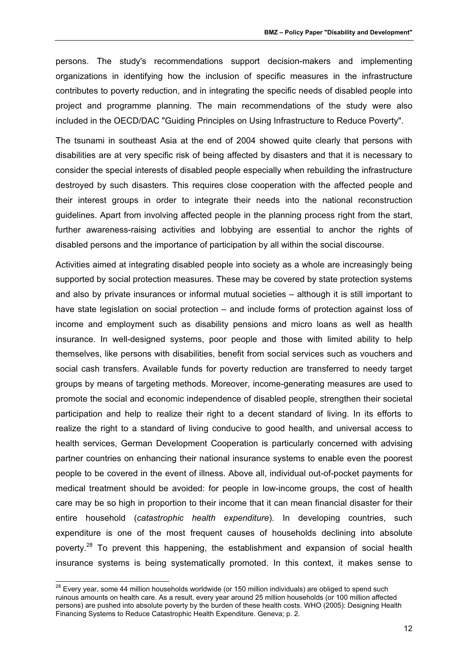persons. The study's recommendations support decision-makers and implementing organizations in identifying how the inclusion of specific measures in the infrastructure contributes to poverty reduction, and in integrating the specific needs of disabled people into project and programme planning. The main recommendations of the study were also included in the OECD/DAC "Guiding Principles on Using Infrastructure to Reduce Poverty".

The tsunami in southeast Asia at the end of 2004 showed quite clearly that persons with disabilities are at very specific risk of being affected by disasters and that it is necessary to consider the special interests of disabled people especially when rebuilding the infrastructure destroyed by such disasters. This requires close cooperation with the affected people and their interest groups in order to integrate their needs into the national reconstruction guidelines. Apart from involving affected people in the planning process right from the start, further awareness-raising activities and lobbying are essential to anchor the rights of disabled persons and the importance of participation by all within the social discourse.

Activities aimed at integrating disabled people into society as a whole are increasingly being supported by social protection measures. These may be covered by state protection systems and also by private insurances or informal mutual societies – although it is still important to have state legislation on social protection – and include forms of protection against loss of income and employment such as disability pensions and micro loans as well as health insurance. In well-designed systems, poor people and those with limited ability to help themselves, like persons with disabilities, benefit from social services such as vouchers and social cash transfers. Available funds for poverty reduction are transferred to needy target groups by means of targeting methods. Moreover, income-generating measures are used to promote the social and economic independence of disabled people, strengthen their societal participation and help to realize their right to a decent standard of living. In its efforts to realize the right to a standard of living conducive to good health, and universal access to health services, German Development Cooperation is particularly concerned with advising partner countries on enhancing their national insurance systems to enable even the poorest people to be covered in the event of illness. Above all, individual out-of-pocket payments for medical treatment should be avoided: for people in low-income groups, the cost of health care may be so high in proportion to their income that it can mean financial disaster for their entire household (*catastrophic health expenditure*). In developing countries, such expenditure is one of the most frequent causes of households declining into absolute poverty.<sup>28</sup> To prevent this happening, the establishment and expansion of social health insurance systems is being systematically promoted. In this context, it makes sense to

 $\overline{a}$ 

 $^{28}$  Every year, some 44 million households worldwide (or 150 million individuals) are obliged to spend such ruinous amounts on health care. As a result, every year around 25 million households (or 100 million affected persons) are pushed into absolute poverty by the burden of these health costs. WHO (2005): Designing Health Financing Systems to Reduce Catastrophic Health Expenditure. Geneva; p. 2.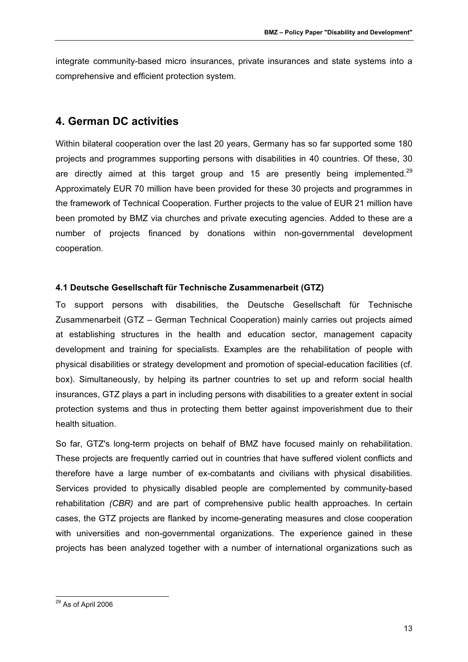integrate community-based micro insurances, private insurances and state systems into a comprehensive and efficient protection system.

# **4. German DC activities**

Within bilateral cooperation over the last 20 years, Germany has so far supported some 180 projects and programmes supporting persons with disabilities in 40 countries. Of these, 30 are directly aimed at this target group and 15 are presently being implemented.<sup>29</sup> Approximately EUR 70 million have been provided for these 30 projects and programmes in the framework of Technical Cooperation. Further projects to the value of EUR 21 million have been promoted by BMZ via churches and private executing agencies. Added to these are a number of projects financed by donations within non-governmental development cooperation.

# **4.1 Deutsche Gesellschaft für Technische Zusammenarbeit (GTZ)**

To support persons with disabilities, the Deutsche Gesellschaft für Technische Zusammenarbeit (GTZ – German Technical Cooperation) mainly carries out projects aimed at establishing structures in the health and education sector, management capacity development and training for specialists. Examples are the rehabilitation of people with physical disabilities or strategy development and promotion of special-education facilities (cf. box). Simultaneously, by helping its partner countries to set up and reform social health insurances, GTZ plays a part in including persons with disabilities to a greater extent in social protection systems and thus in protecting them better against impoverishment due to their health situation.

So far, GTZ's long-term projects on behalf of BMZ have focused mainly on rehabilitation. These projects are frequently carried out in countries that have suffered violent conflicts and therefore have a large number of ex-combatants and civilians with physical disabilities. Services provided to physically disabled people are complemented by community-based rehabilitation *(CBR)* and are part of comprehensive public health approaches. In certain cases, the GTZ projects are flanked by income-generating measures and close cooperation with universities and non-governmental organizations. The experience gained in these projects has been analyzed together with a number of international organizations such as

 $\overline{a}$ <sup>29</sup> As of April 2006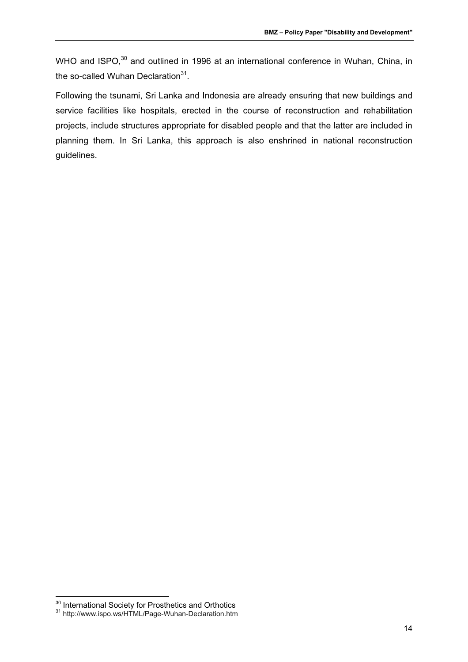WHO and ISPO,<sup>30</sup> and outlined in 1996 at an international conference in Wuhan, China, in the so-called Wuhan Declaration<sup>31</sup>.

Following the tsunami, Sri Lanka and Indonesia are already ensuring that new buildings and service facilities like hospitals, erected in the course of reconstruction and rehabilitation projects, include structures appropriate for disabled people and that the latter are included in planning them. In Sri Lanka, this approach is also enshrined in national reconstruction guidelines.

-

<sup>&</sup>lt;sup>30</sup> International Society for Prosthetics and Orthotics<br><sup>31</sup> http://www.ispo.ws/HTML/Page-Wuhan-Declaration.htm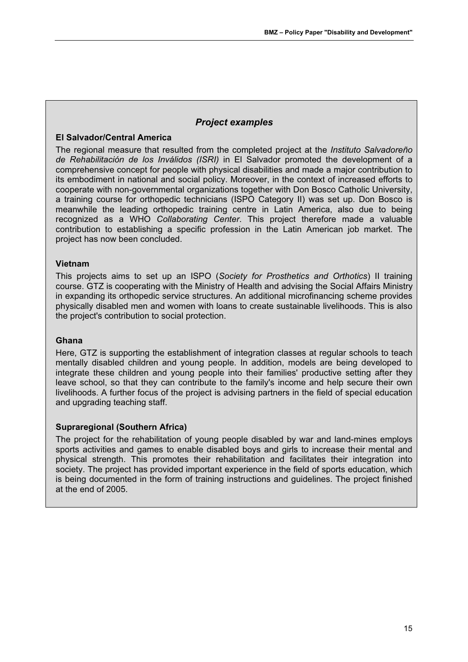# *Project examples*

## **El Salvador/Central America**

The regional measure that resulted from the completed project at the *Instituto Salvadoreño de Rehabilitación de los Inválidos (ISRI)* in El Salvador promoted the development of a comprehensive concept for people with physical disabilities and made a major contribution to its embodiment in national and social policy. Moreover, in the context of increased efforts to cooperate with non-governmental organizations together with Don Bosco Catholic University, a training course for orthopedic technicians (ISPO Category II) was set up. Don Bosco is meanwhile the leading orthopedic training centre in Latin America, also due to being recognized as a WHO *Collaborating Center*. This project therefore made a valuable contribution to establishing a specific profession in the Latin American job market. The project has now been concluded.

## **Vietnam**

This projects aims to set up an ISPO (*Society for Prosthetics and Orthotics*) II training course. GTZ is cooperating with the Ministry of Health and advising the Social Affairs Ministry in expanding its orthopedic service structures. An additional microfinancing scheme provides physically disabled men and women with loans to create sustainable livelihoods. This is also the project's contribution to social protection.

## **Ghana**

Here, GTZ is supporting the establishment of integration classes at regular schools to teach mentally disabled children and young people. In addition, models are being developed to integrate these children and young people into their families' productive setting after they leave school, so that they can contribute to the family's income and help secure their own livelihoods. A further focus of the project is advising partners in the field of special education and upgrading teaching staff.

# **Supraregional (Southern Africa)**

The project for the rehabilitation of young people disabled by war and land-mines employs sports activities and games to enable disabled boys and girls to increase their mental and physical strength. This promotes their rehabilitation and facilitates their integration into society. The project has provided important experience in the field of sports education, which is being documented in the form of training instructions and guidelines. The project finished at the end of 2005.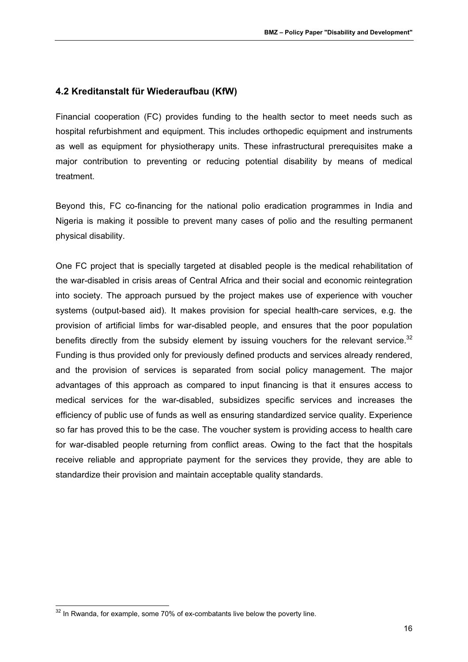# **4.2 Kreditanstalt für Wiederaufbau (KfW)**

Financial cooperation (FC) provides funding to the health sector to meet needs such as hospital refurbishment and equipment. This includes orthopedic equipment and instruments as well as equipment for physiotherapy units. These infrastructural prerequisites make a major contribution to preventing or reducing potential disability by means of medical treatment.

Beyond this, FC co-financing for the national polio eradication programmes in India and Nigeria is making it possible to prevent many cases of polio and the resulting permanent physical disability.

One FC project that is specially targeted at disabled people is the medical rehabilitation of the war-disabled in crisis areas of Central Africa and their social and economic reintegration into society. The approach pursued by the project makes use of experience with voucher systems (output-based aid). It makes provision for special health-care services, e.g. the provision of artificial limbs for war-disabled people, and ensures that the poor population benefits directly from the subsidy element by issuing vouchers for the relevant service.<sup>32</sup> Funding is thus provided only for previously defined products and services already rendered, and the provision of services is separated from social policy management. The major advantages of this approach as compared to input financing is that it ensures access to medical services for the war-disabled, subsidizes specific services and increases the efficiency of public use of funds as well as ensuring standardized service quality. Experience so far has proved this to be the case. The voucher system is providing access to health care for war-disabled people returning from conflict areas. Owing to the fact that the hospitals receive reliable and appropriate payment for the services they provide, they are able to standardize their provision and maintain acceptable quality standards.

 $\overline{a}$  $32$  In Rwanda, for example, some 70% of ex-combatants live below the poverty line.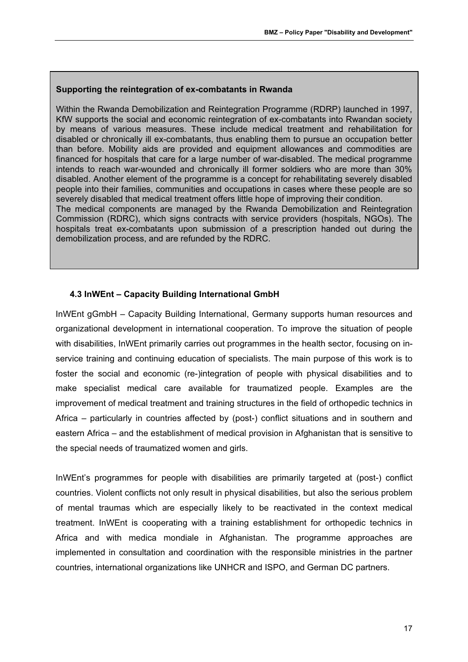#### **Supporting the reintegration of ex-combatants in Rwanda**

Within the Rwanda Demobilization and Reintegration Programme (RDRP) launched in 1997, KfW supports the social and economic reintegration of ex-combatants into Rwandan society by means of various measures. These include medical treatment and rehabilitation for disabled or chronically ill ex-combatants, thus enabling them to pursue an occupation better than before. Mobility aids are provided and equipment allowances and commodities are financed for hospitals that care for a large number of war-disabled. The medical programme intends to reach war-wounded and chronically ill former soldiers who are more than 30% disabled. Another element of the programme is a concept for rehabilitating severely disabled people into their families, communities and occupations in cases where these people are so severely disabled that medical treatment offers little hope of improving their condition. The medical components are managed by the Rwanda Demobilization and Reintegration Commission (RDRC), which signs contracts with service providers (hospitals, NGOs). The hospitals treat ex-combatants upon submission of a prescription handed out during the demobilization process, and are refunded by the RDRC.

#### **4.3 InWEnt – Capacity Building International GmbH**

InWEnt gGmbH – Capacity Building International, Germany supports human resources and organizational development in international cooperation. To improve the situation of people with disabilities, InWEnt primarily carries out programmes in the health sector, focusing on inservice training and continuing education of specialists. The main purpose of this work is to foster the social and economic (re-)integration of people with physical disabilities and to make specialist medical care available for traumatized people. Examples are the improvement of medical treatment and training structures in the field of orthopedic technics in Africa – particularly in countries affected by (post-) conflict situations and in southern and eastern Africa – and the establishment of medical provision in Afghanistan that is sensitive to the special needs of traumatized women and girls.

InWEnt's programmes for people with disabilities are primarily targeted at (post-) conflict countries. Violent conflicts not only result in physical disabilities, but also the serious problem of mental traumas which are especially likely to be reactivated in the context medical treatment. InWEnt is cooperating with a training establishment for orthopedic technics in Africa and with medica mondiale in Afghanistan. The programme approaches are implemented in consultation and coordination with the responsible ministries in the partner countries, international organizations like UNHCR and ISPO, and German DC partners.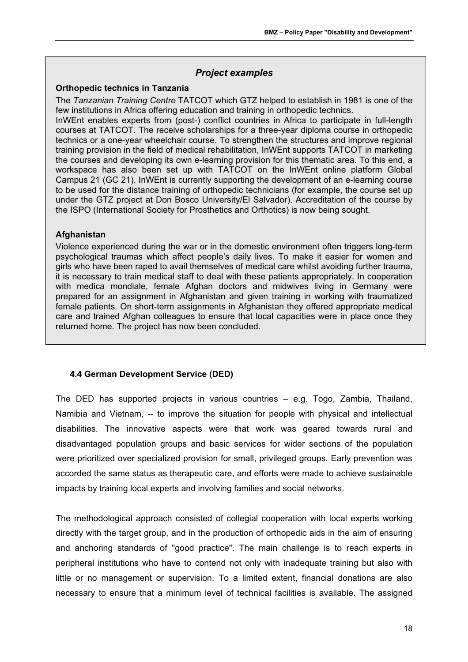# *Project examples*

## **Orthopedic technics in Tanzania**

The *Tanzanian Training Centre* TATCOT which GTZ helped to establish in 1981 is one of the few institutions in Africa offering education and training in orthopedic technics.

InWEnt enables experts from (post-) conflict countries in Africa to participate in full-length courses at TATCOT. The receive scholarships for a three-year diploma course in orthopedic technics or a one-year wheelchair course. To strengthen the structures and improve regional training provision in the field of medical rehabilitation, InWEnt supports TATCOT in marketing the courses and developing its own e-learning provision for this thematic area. To this end, a workspace has also been set up with TATCOT on the InWEnt online platform Global Campus 21 (GC 21). InWEnt is currently supporting the development of an e-learning course to be used for the distance training of orthopedic technicians (for example, the course set up under the GTZ project at Don Bosco University/El Salvador). Accreditation of the course by the ISPO (International Society for Prosthetics and Orthotics) is now being sought.

## **Afghanistan**

Violence experienced during the war or in the domestic environment often triggers long-term psychological traumas which affect people's daily lives. To make it easier for women and girls who have been raped to avail themselves of medical care whilst avoiding further trauma, it is necessary to train medical staff to deal with these patients appropriately. In cooperation with medica mondiale, female Afghan doctors and midwives living in Germany were prepared for an assignment in Afghanistan and given training in working with traumatized female patients. On short-term assignments in Afghanistan they offered appropriate medical care and trained Afghan colleagues to ensure that local capacities were in place once they returned home. The project has now been concluded.

# **4.4 German Development Service (DED)**

The DED has supported projects in various countries – e.g. Togo, Zambia, Thailand, Namibia and Vietnam, -- to improve the situation for people with physical and intellectual disabilities. The innovative aspects were that work was geared towards rural and disadvantaged population groups and basic services for wider sections of the population were prioritized over specialized provision for small, privileged groups. Early prevention was accorded the same status as therapeutic care, and efforts were made to achieve sustainable impacts by training local experts and involving families and social networks.

The methodological approach consisted of collegial cooperation with local experts working directly with the target group, and in the production of orthopedic aids in the aim of ensuring and anchoring standards of "good practice". The main challenge is to reach experts in peripheral institutions who have to contend not only with inadequate training but also with little or no management or supervision. To a limited extent, financial donations are also necessary to ensure that a minimum level of technical facilities is available. The assigned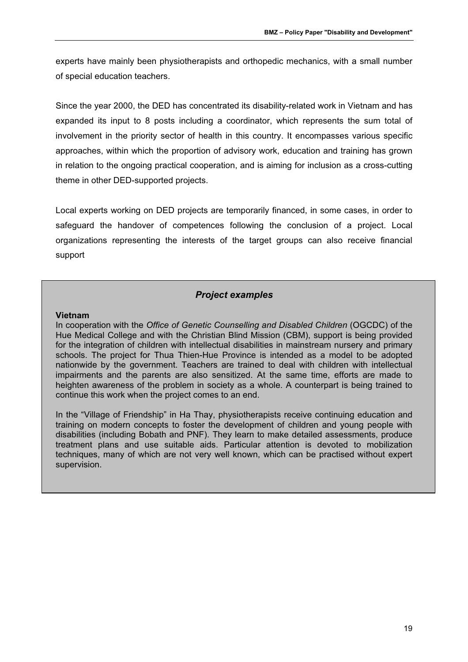experts have mainly been physiotherapists and orthopedic mechanics, with a small number of special education teachers.

Since the year 2000, the DED has concentrated its disability-related work in Vietnam and has expanded its input to 8 posts including a coordinator, which represents the sum total of involvement in the priority sector of health in this country. It encompasses various specific approaches, within which the proportion of advisory work, education and training has grown in relation to the ongoing practical cooperation, and is aiming for inclusion as a cross-cutting theme in other DED-supported projects.

Local experts working on DED projects are temporarily financed, in some cases, in order to safeguard the handover of competences following the conclusion of a project. Local organizations representing the interests of the target groups can also receive financial support

# *Project examples*

#### **Vietnam**

In cooperation with the *Office of Genetic Counselling and Disabled Children* (OGCDC) of the Hue Medical College and with the Christian Blind Mission (CBM), support is being provided for the integration of children with intellectual disabilities in mainstream nursery and primary schools. The project for Thua Thien-Hue Province is intended as a model to be adopted nationwide by the government. Teachers are trained to deal with children with intellectual impairments and the parents are also sensitized. At the same time, efforts are made to heighten awareness of the problem in society as a whole. A counterpart is being trained to continue this work when the project comes to an end.

In the "Village of Friendship" in Ha Thay, physiotherapists receive continuing education and training on modern concepts to foster the development of children and young people with disabilities (including Bobath and PNF). They learn to make detailed assessments, produce treatment plans and use suitable aids. Particular attention is devoted to mobilization techniques, many of which are not very well known, which can be practised without expert supervision.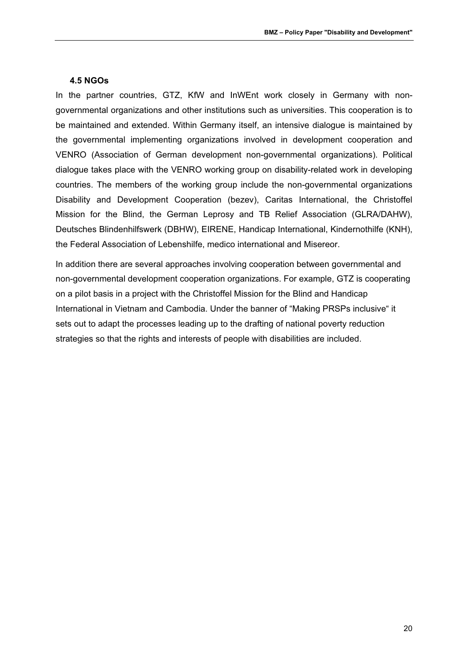#### **4.5 NGOs**

In the partner countries, GTZ, KfW and InWEnt work closely in Germany with nongovernmental organizations and other institutions such as universities. This cooperation is to be maintained and extended. Within Germany itself, an intensive dialogue is maintained by the governmental implementing organizations involved in development cooperation and VENRO (Association of German development non-governmental organizations). Political dialogue takes place with the VENRO working group on disability-related work in developing countries. The members of the working group include the non-governmental organizations Disability and Development Cooperation (bezev), Caritas International, the Christoffel Mission for the Blind, the German Leprosy and TB Relief Association (GLRA/DAHW), Deutsches Blindenhilfswerk (DBHW), EIRENE, Handicap International, Kindernothilfe (KNH), the Federal Association of Lebenshilfe, medico international and Misereor.

In addition there are several approaches involving cooperation between governmental and non-governmental development cooperation organizations. For example, GTZ is cooperating on a pilot basis in a project with the Christoffel Mission for the Blind and Handicap International in Vietnam and Cambodia. Under the banner of "Making PRSPs inclusive" it sets out to adapt the processes leading up to the drafting of national poverty reduction strategies so that the rights and interests of people with disabilities are included.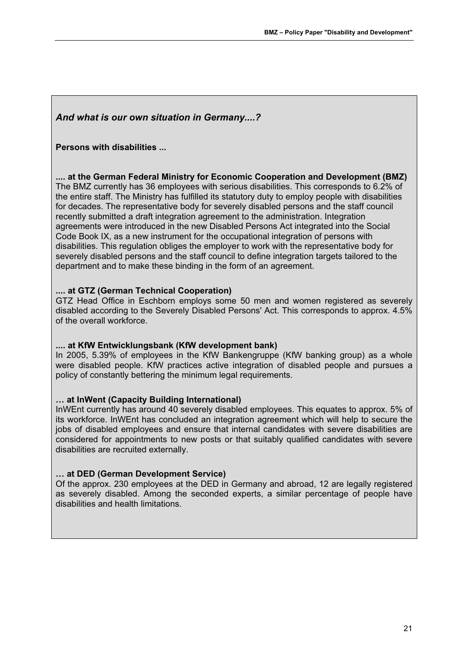*And what is our own situation in Germany....?*

## **Persons with disabilities ...**

**.... at the German Federal Ministry for Economic Cooperation and Development (BMZ)**  The BMZ currently has 36 employees with serious disabilities. This corresponds to 6.2% of the entire staff. The Ministry has fulfilled its statutory duty to employ people with disabilities for decades. The representative body for severely disabled persons and the staff council recently submitted a draft integration agreement to the administration. Integration agreements were introduced in the new Disabled Persons Act integrated into the Social Code Book IX, as a new instrument for the occupational integration of persons with disabilities. This regulation obliges the employer to work with the representative body for severely disabled persons and the staff council to define integration targets tailored to the department and to make these binding in the form of an agreement.

## **.... at GTZ (German Technical Cooperation)**

GTZ Head Office in Eschborn employs some 50 men and women registered as severely disabled according to the Severely Disabled Persons' Act. This corresponds to approx. 4.5% of the overall workforce.

## **.... at KfW Entwicklungsbank (KfW development bank)**

In 2005, 5.39% of employees in the KfW Bankengruppe (KfW banking group) as a whole were disabled people. KfW practices active integration of disabled people and pursues a policy of constantly bettering the minimum legal requirements.

## **… at InWent (Capacity Building International)**

InWEnt currently has around 40 severely disabled employees. This equates to approx. 5% of its workforce. InWEnt has concluded an integration agreement which will help to secure the jobs of disabled employees and ensure that internal candidates with severe disabilities are considered for appointments to new posts or that suitably qualified candidates with severe disabilities are recruited externally.

## **… at DED (German Development Service)**

Of the approx. 230 employees at the DED in Germany and abroad, 12 are legally registered as severely disabled. Among the seconded experts, a similar percentage of people have disabilities and health limitations.